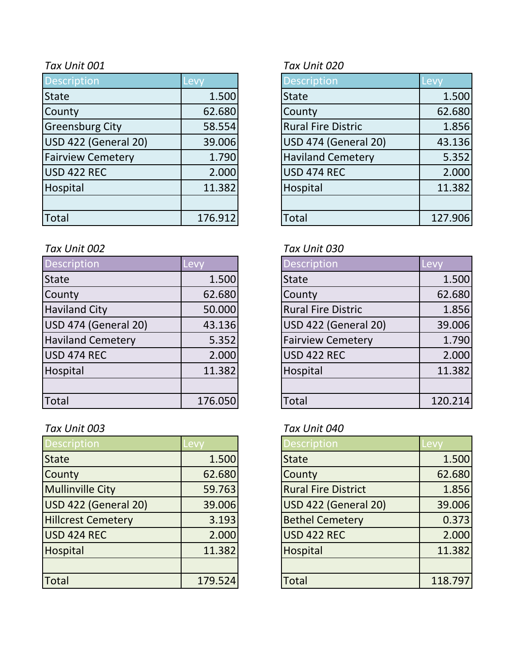| <b>Description</b>       | Levy    | <b>Description</b>        | Levy    |
|--------------------------|---------|---------------------------|---------|
| <b>State</b>             | 1.500   | <b>State</b>              | 1.500   |
| County                   | 62.680  | County                    | 62.680  |
| <b>Greensburg City</b>   | 58.554  | <b>Rural Fire Distric</b> | 1.856   |
| USD 422 (General 20)     | 39.006  | USD 474 (General 20)      | 43.136  |
| <b>Fairview Cemetery</b> | 1.790   | <b>Haviland Cemetery</b>  | 5.352   |
| USD 422 REC              | 2.000   | USD 474 REC               | 2.000   |
| Hospital                 | 11.382  | Hospital                  | 11.382  |
|                          |         |                           |         |
| Total                    | 176.912 | <b>Total</b>              | 127.906 |

## *Tax Unit 002 Tax Unit 030*

| Description              | Levy    | <b>Description</b>        | Levy    |
|--------------------------|---------|---------------------------|---------|
| <b>State</b>             | 1.500   | <b>State</b>              | 1.500   |
| County                   | 62.680  | County                    | 62.680  |
| <b>Haviland City</b>     | 50.000  | <b>Rural Fire Distric</b> | 1.856   |
| USD 474 (General 20)     | 43.136  | USD 422 (General 20)      | 39.006  |
| <b>Haviland Cemetery</b> | 5.352   | <b>Fairview Cemetery</b>  | 1.790   |
| USD 474 REC              | 2.000   | <b>USD 422 REC</b>        | 2.000   |
| Hospital                 | 11.382  | Hospital                  | 11.382  |
|                          |         |                           |         |
| <b>Total</b>             | 176.050 | Total                     | 120.214 |

# *Tax Unit 003 Tax Unit 040*

| <b>Description</b>        | Levy    | <b>Description</b>         | <b>Levy</b> |
|---------------------------|---------|----------------------------|-------------|
| <b>State</b>              | 1.500   | <b>State</b>               | 1.500       |
| County                    | 62.680  | County                     | 62.680      |
| <b>Mullinville City</b>   | 59.763  | <b>Rural Fire District</b> | 1.856       |
| USD 422 (General 20)      | 39.006  | USD 422 (General 20)       | 39.006      |
| <b>Hillcrest Cemetery</b> | 3.193   | <b>Bethel Cemetery</b>     | 0.373       |
| USD 424 REC               | 2.000   | <b>USD 422 REC</b>         | 2.000       |
| Hospital                  | 11.382  | Hospital                   | 11.382      |
|                           |         |                            |             |
| Total                     | 179.524 | <b>Total</b>               | 118.797     |

# *Tax Unit 001 Tax Unit 020*

| Description                 | Lev <sup>®</sup> |
|-----------------------------|------------------|
| State                       | 1.500            |
| County                      | 62.680           |
| <b>Rural Fire Distric</b>   | 1.856            |
| <b>USD 474 (General 20)</b> | 43.136           |
| <b>Haviland Cemetery</b>    | 5.352            |
| <b>USD 474 REC</b>          | 2.000            |
| Hospital                    | 11.382           |
|                             |                  |
| Total                       | 127.906          |

| <b>Description</b>        | Lev     |
|---------------------------|---------|
| <b>State</b>              | 1.500   |
| County                    | 62.680  |
| <b>Rural Fire Distric</b> | 1.856   |
| USD 422 (General 20)      | 39.006  |
| <b>Fairview Cemetery</b>  | 1.790   |
| USD 422 REC               | 2.000   |
| Hospital                  | 11.382  |
|                           |         |
| Total                     | 120.214 |

| <b>Description</b>         | Levv    |
|----------------------------|---------|
| <b>State</b>               | 1.500   |
| County                     | 62.680  |
| <b>Rural Fire District</b> | 1.856   |
| USD 422 (General 20)       | 39.006  |
| <b>Bethel Cemetery</b>     | 0.373   |
| <b>USD 422 REC</b>         | 2.000   |
| Hospital                   | 11.382  |
|                            |         |
| Total                      | 118.797 |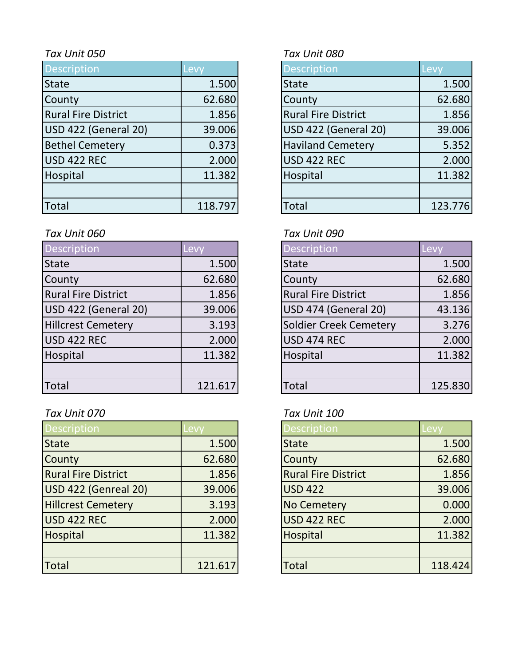| <b>Description</b>         | Levy    | <b>Description</b>         | Levy    |
|----------------------------|---------|----------------------------|---------|
| <b>State</b>               | 1.500   | <b>State</b>               | 1.500   |
| County                     | 62.680  | County                     | 62.680  |
| <b>Rural Fire District</b> | 1.856   | <b>Rural Fire District</b> | 1.856   |
| USD 422 (General 20)       | 39.006  | USD 422 (General 20)       | 39.006  |
| <b>Bethel Cemetery</b>     | 0.373   | <b>Haviland Cemetery</b>   | 5.352   |
| USD 422 REC                | 2.000   | <b>USD 422 REC</b>         | 2.000   |
| Hospital                   | 11.382  | Hospital                   | 11.382  |
|                            |         |                            |         |
| <b>Total</b>               | 118.797 | <b>Total</b>               | 123.776 |

# *Tax Unit 060 Tax Unit 090*

| <b>Description</b>         | Levy    | <b>Description</b>         | Levy    |
|----------------------------|---------|----------------------------|---------|
| <b>State</b>               | 1.500   | <b>State</b>               | 1.500   |
| County                     | 62.680  | County                     | 62.680  |
| <b>Rural Fire District</b> | 1.856   | <b>Rural Fire District</b> | 1.856   |
| USD 422 (General 20)       | 39.006  | USD 474 (General 20)       | 43.136  |
| <b>Hillcrest Cemetery</b>  | 3.193   | Soldier Creek Cemetery     | 3.276   |
| USD 422 REC                | 2.000   | <b>USD 474 REC</b>         | 2.000   |
| Hospital                   | 11.382  | Hospital                   | 11.382  |
|                            |         |                            |         |
| Total                      | 121.617 | Total                      | 125.830 |

# *Tax Unit 070 Tax Unit 100*

| <b>Description</b>         | evy.    | <b>Description</b>         | -evy    |
|----------------------------|---------|----------------------------|---------|
| <b>State</b>               | 1.500   | <b>State</b>               | 1.500   |
| County                     | 62.680  | County                     | 62.680  |
| <b>Rural Fire District</b> | 1.856   | <b>Rural Fire District</b> | 1.856   |
| USD 422 (Genreal 20)       | 39.006  | <b>USD 422</b>             | 39.006  |
| <b>Hillcrest Cemetery</b>  | 3.193   | <b>No Cemetery</b>         | 0.000   |
| USD 422 REC                | 2.000   | <b>USD 422 REC</b>         | 2.000   |
| Hospital                   | 11.382  | Hospital                   | 11.382  |
|                            |         |                            |         |
| <b>Total</b>               | 121.617 | <b>Total</b>               | 118.424 |

# *Tax Unit 050 Tax Unit 080*

| <b>Description</b>          | Levy    |
|-----------------------------|---------|
| <b>State</b>                | 1.500   |
| County                      | 62.680  |
| <b>Rural Fire District</b>  | 1.856   |
| <b>USD 422 (General 20)</b> | 39.006  |
| <b>Haviland Cemetery</b>    | 5.352   |
| <b>USD 422 REC</b>          | 2.000   |
| Hospital                    | 11.382  |
|                             |         |
| `otal                       | 123.776 |

| Description                   | <b>Lev</b> |
|-------------------------------|------------|
| <b>State</b>                  | 1.500      |
| County                        | 62.680     |
| <b>Rural Fire District</b>    | 1.856      |
| USD 474 (General 20)          | 43.136     |
| <b>Soldier Creek Cemetery</b> | 3.276      |
| <b>USD 474 REC</b>            | 2.000      |
| Hospital                      | 11.382     |
|                               |            |
| `otal                         | 125.830    |

| <b>Description</b>         | Levv    |
|----------------------------|---------|
| <b>State</b>               | 1.500   |
| County                     | 62.680  |
| <b>Rural Fire District</b> | 1.856   |
| <b>USD 422</b>             | 39.006  |
| <b>No Cemetery</b>         | 0.000   |
| <b>USD 422 REC</b>         | 2.000   |
| Hospital                   | 11.382  |
|                            |         |
| <b>Total</b>               | 118.424 |